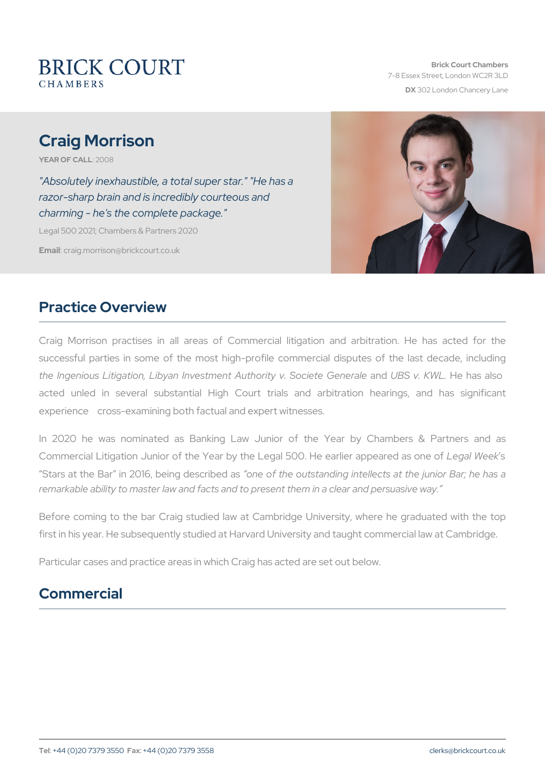# Craig Morrison

YEAR OF CA2LOL08

"Absolutely inexhaustible, a total super star." "He has a razor-sharp brain and is incredibly courteous and charming - he's the complete package."

Legal 500 2021; Chambers & Partners 2020

Emaidraig.morrison@brickcourt.co.uk

### Practice Overview

Craig Morrison practises in all areas of Commercial litigation a successful parties in some of the most high-profile commercial dis the Ingenious Litigation, Libyan Investment AauthUbBB yv. KWAL and and Ge acted unled in several substantial High Court trials and arb experience cross-examining both factual and expert witnesses.

In 2020 he was nominated as Banking Law Junior of the Yea Commercial Litigation Junior of the Year by the Legal 5LOeOgaHeWeeklie Stars at the Bar in 2016, boening o dest the dinaction of the junior states and the junior Bar; he has a standard in the hastandard in the has a standard in the has a standard in the has a standard in the has a standard in remarkable ability to master law and facts and to present them in a cl

Before coming to the bar Craig studied law at Cambridge University first in his year. He subsequently studied at Harvard University and ta

Particular cases and practice areas in which Craig has acted are set out

# Commercial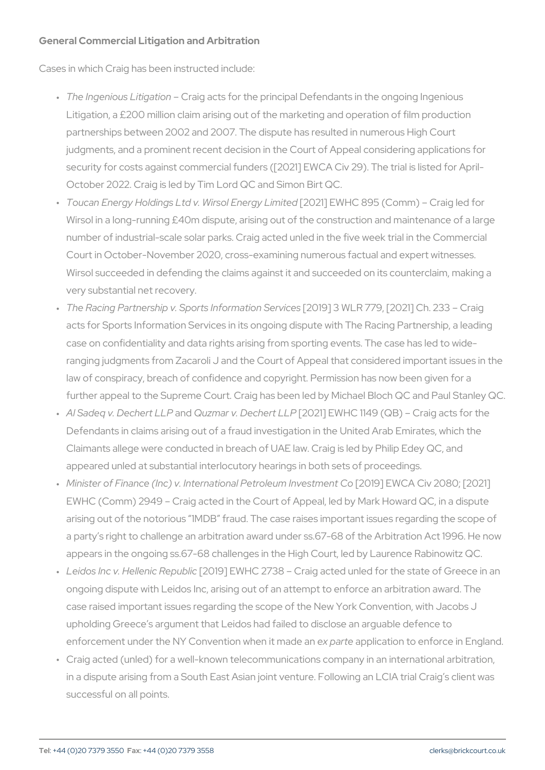General Commercial Litigation and Arbitration

Cases in which Craig has been instructed include:

- " The Ingenious LiCingaaitgioancts for the principal Defendants in the ong Litigation, a  $£200$  million claim arising out of the marketing and operation. partnerships between 2002 and 2007. The dispute has resulted in judgments, and a prominent recent decision in the Court of Appeal security for costs against commercial funders ([2021] EWCA Civ 29 October 2022. Craig is led by Tim Lord QC and Simon Birt QC.
- " Toucan Energy Holdings Ltd v. W[i2:00211] JE E& Wrlg C L8i9m5it(eOdomm) Craig Wirsol in a long-running  $£40m$  dispute, arising out of the construction and  $m$ number of industrial-scale solar parks. Craig acted unled in the fi Court in October-November 2020, cross-examining numerous factual Wirsol succeeded in defending the claims against it and succeeded very substantial net recovery.
- " The Racing Partnership v. Sports[2n0f1c9r]m3at\\blnRS7e7r9ic[e2s021] Ch. 233 acts for Sports Information Services in its ongoing dispute with The case on confidentiality and data rights arising from sporting event ranging judgments from Zacaroli J and the Court of Appeal that co law of conspiracy, breach of confidence and copyright. Permission further appeal to the Supreme Court. Craig has been led by Michael
- " Al Sadeq v. Decahneooptu Łnb Par v. Dec [h2e of 2 L]L PL W H C 1149 (Q B) Craig ac Defendants in claims arising out of a fraud investigation in the Un Claimants allege were conducted in breach of UAE law. Craig is le appeared unled at substantial interlocutory hearings in both sets of
- " Minister of Finance (Inc) v. Internationa[2P0elt9r]plEeWn63AInCvievs2n618.6t [2201 EWHC (Comm) 209r4a9g acted in the Court of Appeal, led by Mark How arising out of the notorious 1MDB fraud. The case raises importa a party s right to challenge an arbitration award under ss.67-68 of appears in the ongoing ss.67-68 challenges in the High Court, led
- " Leidos Inc v. Helle[n2i@1風epEuWoHiC 2738 Craig acted unled for the st ongoing dispute with Leidos Inc, arising out of an attempt to enfor case raised important issues regarding the scope of the New York upholding Greece s argument that Leidos had failed to disclose an enforcement under the NY Convention probation it antaide to enforce in E
- " Craig acted (unled) for a well-known telecommunications company in a dispute arising from a South East Asian joint venture. Followi successful on all points.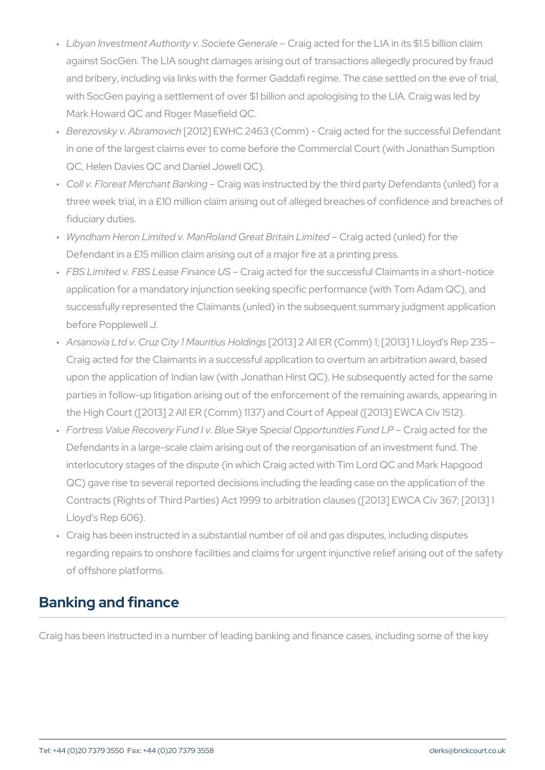- " Libyan Investment Authority v. **SoæigtacGeech éoalthe LIA in its \$1.5** bill against SocGen. The LIA sought damages arising out of transactio and bribery, including via links with the former Gaddafi regime. The case of the case of the events on the eve with SocGen paying a settlement of over \$1 billion and apologising Mark Howard QC and Roger Masefield QC.
- " Berezovsky v. Ab (2a0m 2) De MHC 2463 (Comm) Craig acted for the su in one of the largest claims ever to come before the Commercial C QC, Helen Davies QC and Daniel Jowell QC).
- " Coll v. Floreat MerchaOnta Bganwhaish ginstructed by the third party Defen three week trial, in a £10 million claim arising out of alleged brea fiduciary duties.
- " Wyndham Heron Limited v. ManRoland **Grae**gt **Borteadin (uLniheidt)edor** the Defendant in a £15 million claim arising out of a major fire at a pr
- " FBS Limited v. FBS Leas **C** rFaiinga**acted S**or the successful Claimants application for a mandatory injunction seeking specific performand successfully represented the Claimants (unled) in the subsequent before Popplewell J.
- " Arsanovia.CLntodzvClitMauritius H2OddBn]g28 All ER (Comm) 1; [2013] 1 Llo Craig acted for the Claimants in a successful application to overturn and an arbitration arbitration and arbitration and arbitration and arbitration and arbitration and arbitration and arbitration and arbitration and arbit upon the application of Indian law (with Jonathan Hirst QC). He su parties in follow-up litigation arising out of the enforcement of the the High Court ([2013] 2 All ER (Comm) 1137) and Court of Appeal
- " Fortress Value RecowBelruye FSUknyde IS ypecial OpportunCirtaeig Factnedd LfB r the Defendants in a large-scale claim arising out of the reorganisation interlocutory stages of the dispute (in which Craig acted with Tim QC) gave rise to several reported decisions including the leading Contracts (Rights of Third Parties) Act 1999 to arbitration clauses Lloyd s Rep 606).
- " Craig has been instructed in a substantial number of oil and gas d regarding repairs to onshore facilities and claims for urgent injune of offshore platforms.

# Banking and finance

Craig has been instructed in a number of leading banking and finance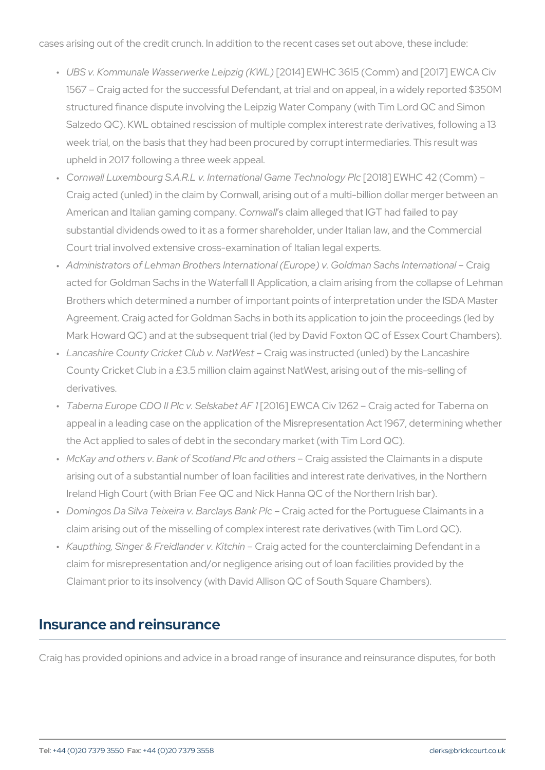cases arising out of the credit crunch. In addition to the recent cases

- " UBS v. Kommunale Wasserwer[k2e01L4e]ipEzWgH (CKSW6L1)5 (Comm) and [2017 1567 Craig acted for the successful Defendant, at trial and on appeal, in a widely reported and a wi structured finance dispute involving the Leipzig Water Company (w Salzedo QC). KWL obtained rescission of multiple complex interes week trial, on the basis that they had been procured by corrupt intermediate. upheld in 2017 following a three week appeal.
- " Cornwall Luxembourg S.A.R.L v. Internatiþ2n0a118G) æEmWeHTCe of han (oOlognym 1Pl Craig acted (unled) in the claim by Cornwall, arising out of a mult American and Italian gandiong waht painty alleged that IGT had failed to substantial dividends owed to it as a former shareholder, under Italian law Court trial involved extensive cross-examination of Italian legal experience
- " Administrators of Lehman Brothers International (Europe) raig Goldm acted for Goldman Sachs in the Waterfall II Application, a claim a Brothers which determined a number of important points of interpr Agreement. Craig acted for Goldman Sachs in both its application Mark Howard QC) and at the subsequent trial (led by David Foxton
- " Lancashire County Cricket CCubig.wNaastWhesstructed (unled) by the La County Cricket Club in a £3.5 million claim against NatWest, arising derivatives.
- " Taberna Europe CDO II PIc[20SGe]IsEk\&/LGeAt QA Flor 1262 Craig acted for appeal in a leading case on the application of the Misrepresentati the Act applied to sales of debt in the secondary market (with Tim
- " McKay and o.Bhaenrks ov f Scotland Plc Canadigo tahses riss ted the Claimants in a arising out of a substantial number of loan facilities and interest Ireland High Court (with Brian Fee QC and Nick Hanna QC of the N
- " Domingos Da Silva Teixeira v. (BraarioglaayosteBda hiokr Pthce Portuguese Claim claim arising out of the misselling of complex interest rate derivat
- " Kaupthing, Singer & FreidlaCrraleig actheid cfhoim the counterclaiming Def claim for misrepresentation and/or negligence arising out of loan f Claimant prior to its insolvency (with David Allison QC of South Square

#### Insurance and reinsurance

Craig has provided opinions and advice in a broad range of insurance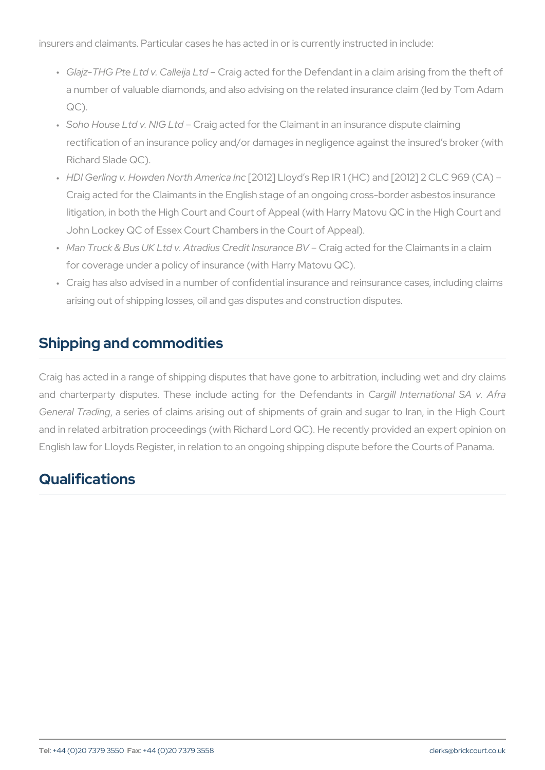insurers and claimants. Particular cases he has acted in or is currentl

- " Glajz-THG Pte Ltd v. Caalig ijaacted for the Defendant in a claim aris a number of valuable diamonds, and also advising on the related i QC).
- " Soho House Ltd v. CNtaGg Ladted for the Claimant in an insurance dis rectification of an insurance policy and/or damages in negligence Richard Slade QC).
- " H D I Gerling v. Howden No[2t0h 1 22 ]] hall for you do Rep IR 1 (HC) and [2012] Craig acted for the Claimants in the English stage of an ongoing c litigation, in both the High Court and Court of Appeal (with Harry John Lockey QC of Essex Court Chambers in the Court of Appeal).
- " Man Truck & Bus UK Ltd v. Atradius OC neeigliad hesdurfaomrcteheBVC laimants i for coverage under a policy of insurance (with Harry Matovu QC).
- " Craig has also advised in a number of confidential insurance and r arising out of shipping losses, oil and gas disputes and constructi

## Shipping and commodities

Craig has acted in a range of shipping disputes that have gone to arbitration, including wet and  $C$ and charterparty disputes. These include a Ctaing illfor httehen ald ieofreandaShA General Traading ries of claims arising out of shipments of grain and and in related arbitration proceedings (with Richard Lord QC). He rec English law for Lloyds Register, in relation to an ongoing shipping dis

## Qualifications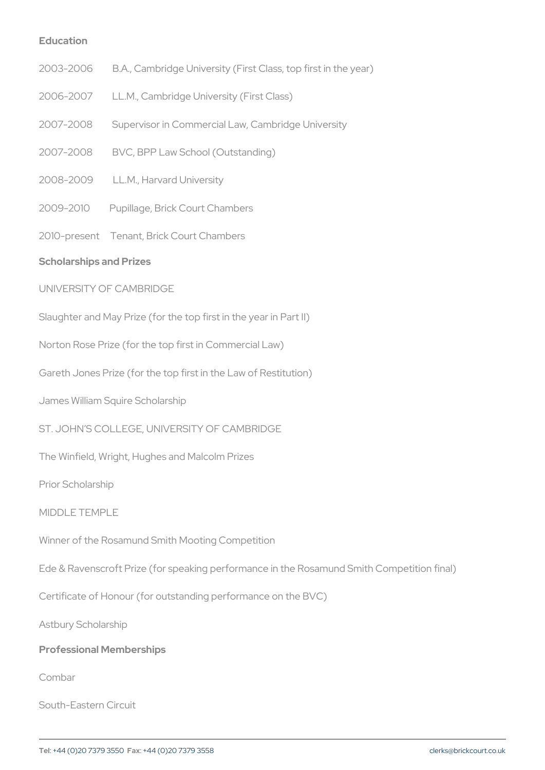Education

- 2003-2006 B.A., Cambridge University (First Class, top first in
- 2006-2007 LL.M., Cambridge University (First Class)
- 2007-2008 Supervisor in Commercial Law, Cambridge University
- 2007-2008 BVC, BPP Law School (Outstanding)
- 2008-2009 LL.M., Harvard University
- 2009-2010 Pupillage, Brick Court Chambers
- 2010-present Tenant, Brick Court Chambers
- Scholarships and Prizes
- UNIVERSITY OF CAMBRIDGE
- Slaughter and May Prize (for the top first in the year in Part II)
- Norton Rose Prize (for the top first in Commercial Law)
- Gareth Jones Prize (for the top first in the Law of Restitution)
- James William Squire Scholarship
- ST. JOHN S COLLEGE, UNIVERSITY OF CAMBRIDGE
- The Winfield, Wright, Hughes and Malcolm Prizes
- Prior Scholarship
- MIDDLE TEMPLE
- Winner of the Rosamund Smith Mooting Competition
- Ede & Ravenscroft Prize (for speaking performance in the Rosamund S
- Certificate of Honour (for outstanding performance on the BVC)
- Astbury Scholarship
- Professional Memberships
- Combar
- South-Eastern Circuit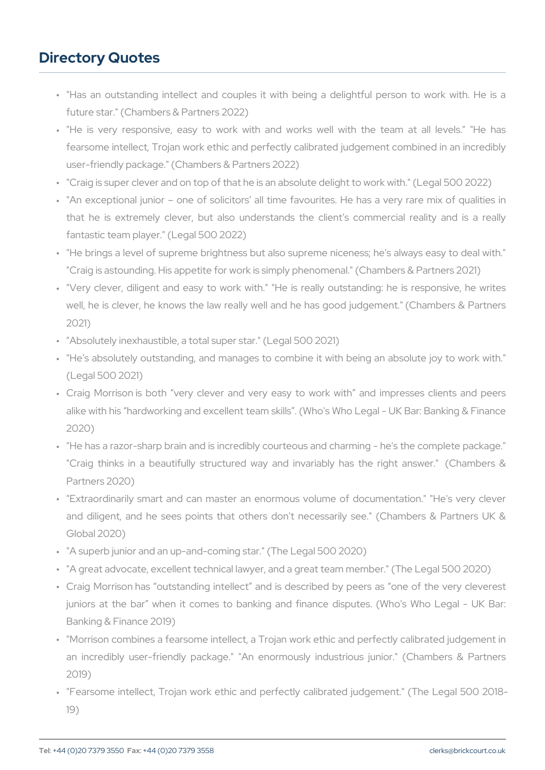## Directory Quotes

- " "Has an outstanding intellect and couples it with being a delig future star." (Chambers & Partners 2022)
- " "He is very responsive, easy to work with and works well w fearsome intellect, Trojan work ethic and perfectly calibrated jud user-friendly package." (Chambers & Partners 2022)
- " "Craig is super clever and on top of that he is an absolute delight
- " "An exceptional junior one of solicitors all time favourites. H that he is extremely clever, but also understands the client s fantastic team player." (Legal 500 2022)
- " "He brings a level of supreme brightness but also supreme nicene "Craig is astounding. His appetite for work is simply phenomenal."
- " "Very clever, diligent and easy to work with." "He is really out well, he is clever, he knows the law really well and he has good 2021)
- " "Absolutely inexhaustible, a total super star." (Legal 500 2021)
- " "He s absolutely outstanding, and manages to combine it with be (Legal 500 2021)
- " Craig Morrison is both very clever and very easy to work with alike with his hardworking and excellent team skills . (Who's Who 2020)
- " "He has a razor-sharp brain and is incredibly courteous and charn "Craig thinks in a beautifully structured way and invariably h Partners 2020)
- " "Extraordinarily smart and can master an enormous volume of d and diligent, and he sees points that others don't necessarily Global 2020)
- " "A superb junior and an up-and-coming star." (The Legal 500 2020)
- " "A great advocate, excellent technical lawyer, and a great team member."
- " Craig Morrison has outstanding intellect and is described by p juniors at the bar when it comes to banking and finance disp Banking & Finance 2019)
- " "Morrison combines a fearsome intellect, a Trojan work ethic and an incredibly user-friendly package." "An enormously industrio 2019)
- " "Fearsome intellect, Trojan work ethic and perfectly calibrated j 19)